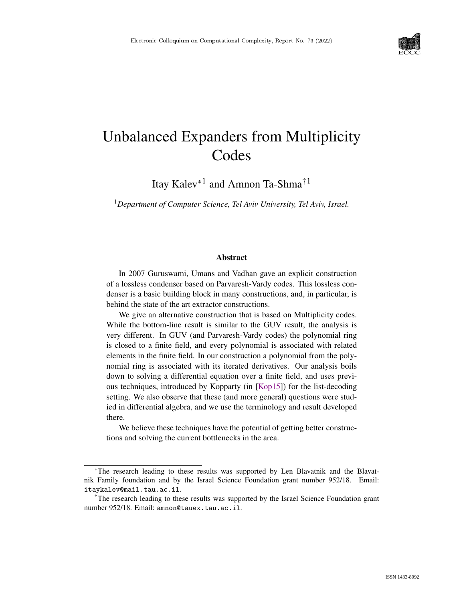

# Unbalanced Expanders from Multiplicity Codes

Itay Kalev\*1 and Amnon Ta-Shma†1

<sup>1</sup>*Department of Computer Science, Tel Aviv University, Tel Aviv, Israel.*

#### Abstract

In 2007 Guruswami, Umans and Vadhan gave an explicit construction of a lossless condenser based on Parvaresh-Vardy codes. This lossless condenser is a basic building block in many constructions, and, in particular, is behind the state of the art extractor constructions.

We give an alternative construction that is based on Multiplicity codes. While the bottom-line result is similar to the GUV result, the analysis is very different. In GUV (and Parvaresh-Vardy codes) the polynomial ring is closed to a finite field, and every polynomial is associated with related elements in the finite field. In our construction a polynomial from the polynomial ring is associated with its iterated derivatives. Our analysis boils down to solving a differential equation over a finite field, and uses previous techniques, introduced by Kopparty (in [\[Kop15\]](#page--1-0)) for the list-decoding setting. We also observe that these (and more general) questions were studied in differential algebra, and we use the terminology and result developed there.

We believe these techniques have the potential of getting better constructions and solving the current bottlenecks in the area.

<sup>\*</sup>The research leading to these results was supported by Len Blavatnik and the Blavatnik Family foundation and by the Israel Science Foundation grant number 952/18. Email: itaykalev@mail.tau.ac.il.

<sup>†</sup>The research leading to these results was supported by the Israel Science Foundation grant number 952/18. Email: amnon@tauex.tau.ac.il.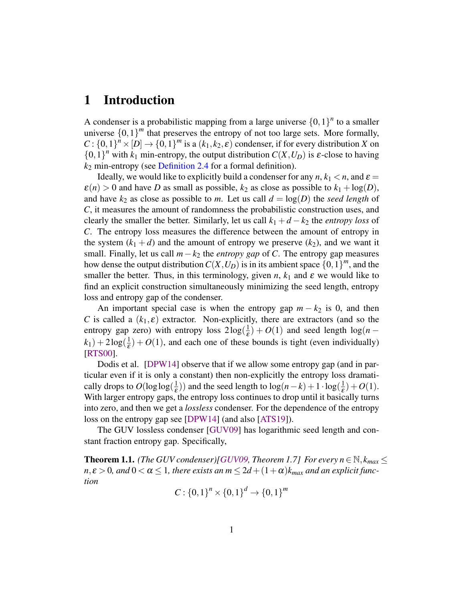### 1 Introduction

A condenser is a probabilistic mapping from a large universe  ${0,1}^n$  to a smaller universe  $\{0,1\}^m$  that preserves the entropy of not too large sets. More formally,  $C: \{0,1\}^n \times [D] \rightarrow \{0,1\}^m$  is a  $(k_1, k_2, \varepsilon)$  condenser, if for every distribution *X* on  $\{0,1\}^n$  with  $k_1$  min-entropy, the output distribution  $C(X, U_D)$  is  $\varepsilon$ -close to having *k*<sup>2</sup> min-entropy (see [Definition 2.4](#page-7-0) for a formal definition).

Ideally, we would like to explicitly build a condenser for any  $n, k_1 < n$ , and  $\varepsilon =$  $\varepsilon(n) > 0$  and have *D* as small as possible,  $k_2$  as close as possible to  $k_1 + \log(D)$ , and have  $k_2$  as close as possible to *m*. Let us call  $d = \log(D)$  the *seed length* of *C*, it measures the amount of randomness the probabilistic construction uses, and clearly the smaller the better. Similarly, let us call  $k_1 + d - k_2$  the *entropy loss* of *C*. The entropy loss measures the difference between the amount of entropy in the system  $(k_1 + d)$  and the amount of entropy we preserve  $(k_2)$ , and we want it small. Finally, let us call *m*−*k*<sup>2</sup> the *entropy gap* of *C*. The entropy gap measures how dense the output distribution  $C(X, U_D)$  is in its ambient space  $\{0, 1\}^m$ , and the smaller the better. Thus, in this terminology, given *n*,  $k_1$  and  $\varepsilon$  we would like to find an explicit construction simultaneously minimizing the seed length, entropy loss and entropy gap of the condenser.

An important special case is when the entropy gap  $m - k_2$  is 0, and then *C* is called a  $(k_1, \varepsilon)$  extractor. Non-explicitly, there are extractors (and so the entropy gap zero) with entropy loss  $2\log(\frac{1}{5})$  $(\frac{1}{\varepsilon}) + O(1)$  and seed length  $\log(n - \varepsilon)$  $(k_1) + 2\log(\frac{1}{\varepsilon})$  $\frac{1}{\epsilon}$ ) + *O*(1), and each one of these bounds is tight (even individually) [\[RTS00\]](#page--1-1).

Dodis et al. [\[DPW14\]](#page-18-0) observe that if we allow some entropy gap (and in particular even if it is only a constant) then non-explicitly the entropy loss dramatically drops to  $O(\log \log(\frac{1}{\epsilon}))$  $(\frac{1}{\varepsilon})$ ) and the seed length to  $\log(n-k) + 1 \cdot \log(\frac{1}{\varepsilon})$  $(\frac{1}{\varepsilon})+O(1).$ With larger entropy gaps, the entropy loss continues to drop until it basically turns into zero, and then we get a *lossless* condenser. For the dependence of the entropy loss on the entropy gap see [\[DPW14\]](#page-18-0) (and also [\[ATS19\]](#page-17-0)).

The GUV lossless condenser [\[GUV09\]](#page-18-1) has logarithmic seed length and constant fraction entropy gap. Specifically,

<span id="page-1-0"></span>**Theorem 1.1.** *(The GUV condenser)[\[GUV09,](#page-18-1) Theorem 1.7] For every n*  $\in \mathbb{N}$ *, k<sub>max</sub>*  $\leq$  $n, \varepsilon > 0$ , and  $0 < \alpha \leq 1$ , there exists an  $m \leq 2d + (1 + \alpha)k_{max}$  and an explicit func*tion*

$$
C: \{0,1\}^n \times \{0,1\}^d \to \{0,1\}^m
$$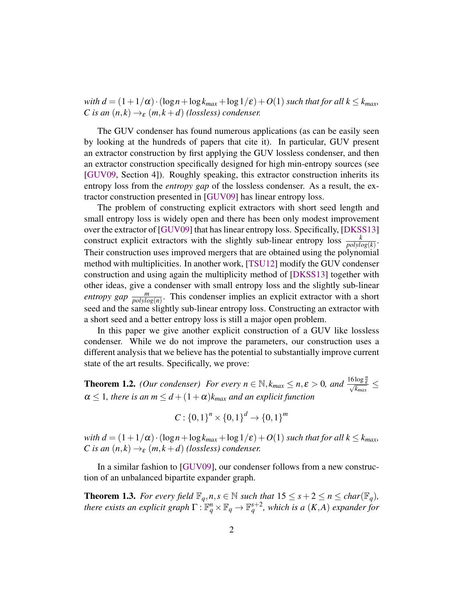<span id="page-2-2"></span>*with d* =  $(1+1/\alpha) \cdot (\log n + \log k_{max} + \log 1/\epsilon) + O(1)$  *such that for all*  $k \leq k_{max}$ *, C* is an  $(n, k) \rightarrow_{\varepsilon} (m, k+d)$  *(lossless) condenser.* 

The GUV condenser has found numerous applications (as can be easily seen by looking at the hundreds of papers that cite it). In particular, GUV present an extractor construction by first applying the GUV lossless condenser, and then an extractor construction specifically designed for high min-entropy sources (see [\[GUV09,](#page-18-1) Section 4]). Roughly speaking, this extractor construction inherits its entropy loss from the *entropy gap* of the lossless condenser. As a result, the extractor construction presented in [\[GUV09\]](#page-18-1) has linear entropy loss.

The problem of constructing explicit extractors with short seed length and small entropy loss is widely open and there has been only modest improvement over the extractor of [\[GUV09\]](#page-18-1) that has linear entropy loss. Specifically, [\[DKSS13\]](#page-18-2) construct explicit extractors with the slightly sub-linear entropy loss  $\frac{k}{polylog(k)}$ . Their construction uses improved mergers that are obtained using the polynomial method with multiplicities. In another work, [\[TSU12\]](#page--1-2) modify the GUV condenser construction and using again the multiplicity method of [\[DKSS13\]](#page-18-2) together with other ideas, give a condenser with small entropy loss and the slightly sub-linear *entropy gap*  $\frac{m}{polylog(n)}$ . This condenser implies an explicit extractor with a short seed and the same slightly sub-linear entropy loss. Constructing an extractor with a short seed and a better entropy loss is still a major open problem.

In this paper we give another explicit construction of a GUV like lossless condenser. While we do not improve the parameters, our construction uses a different analysis that we believe has the potential to substantially improve current state of the art results. Specifically, we prove:

<span id="page-2-0"></span>**Theorem 1.2.** *(Our condenser) For every n*  $\in \mathbb{N}$ ,  $k_{max} \le n, \varepsilon > 0$ , and  $\frac{16 \log \frac{n}{\varepsilon}}{\sqrt{k_{max}}} \le$  $\alpha \leq 1$ , there is an  $m \leq d + (1 + \alpha)k_{max}$  and an explicit function

$$
C: \{0,1\}^n \times \{0,1\}^d \to \{0,1\}^m
$$

*with d* =  $(1+1/\alpha) \cdot (\log n + \log k_{max} + \log 1/\epsilon) + O(1)$  *such that for all*  $k \leq k_{max}$ *, C* is an  $(n, k) \rightarrow_{\varepsilon} (m, k+d)$  *(lossless) condenser.* 

In a similar fashion to [\[GUV09\]](#page-18-1), our condenser follows from a new construction of an unbalanced bipartite expander graph.

<span id="page-2-1"></span>**Theorem 1.3.** For every field  $\mathbb{F}_q$ ,  $n, s \in \mathbb{N}$  such that  $15 \leq s + 2 \leq n \leq char(\mathbb{F}_q)$ , *there exists an explicit graph*  $\Gamma: \mathbb{F}_q^n \times \mathbb{F}_q \to \mathbb{F}_q^{s+2}$ , which is a  $(K, A)$  *expander for*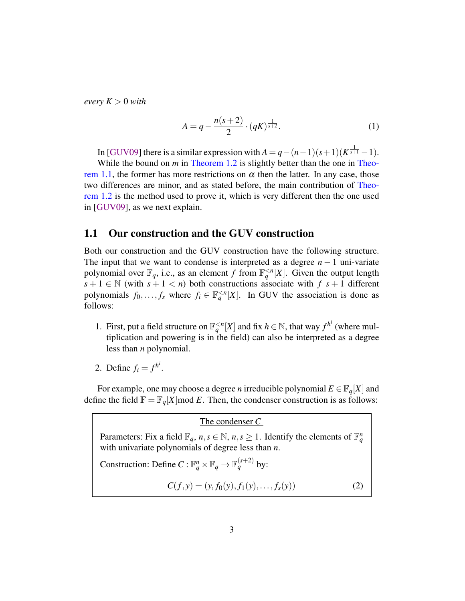<span id="page-3-0"></span>*every*  $K > 0$  *with* 

$$
A = q - \frac{n(s+2)}{2} \cdot (qK)^{\frac{1}{s+2}}.
$$
 (1)

In [\[GUV09\]](#page-18-1) there is a similar expression with  $A = q - (n-1)(s+1)(K^{\frac{1}{s+1}}-1)$ . While the bound on *m* in [Theorem 1.2](#page-2-0) is slightly better than the one in [Theo](#page-1-0)[rem 1.1,](#page-1-0) the former has more restrictions on  $\alpha$  then the latter. In any case, those two differences are minor, and as stated before, the main contribution of [Theo](#page-2-0)[rem 1.2](#page-2-0) is the method used to prove it, which is very different then the one used in [\[GUV09\]](#page-18-1), as we next explain.

### 1.1 Our construction and the GUV construction

Both our construction and the GUV construction have the following structure. The input that we want to condense is interpreted as a degree  $n - 1$  uni-variate polynomial over  $\mathbb{F}_q$ , i.e., as an element *f* from  $\mathbb{F}_q^{\leq n}[X]$ . Given the output length  $s + 1 \in \mathbb{N}$  (with  $s + 1 < n$ ) both constructions associate with  $f(s + 1)$  different polynomials  $f_0, \ldots, f_s$  where  $f_i \in \mathbb{F}_q^{\leq n}[X]$ . In GUV the association is done as follows:

- 1. First, put a field structure on  $\mathbb{F}_q^{< n}[X]$  and fix  $h \in \mathbb{N}$ , that way  $f^{h^i}$  (where multiplication and powering is in the field) can also be interpreted as a degree less than *n* polynomial.
- 2. Define  $f_i = f^{h^i}$ .

For example, one may choose a degree *n* irreducible polynomial  $E \in \mathbb{F}_q[X]$  and define the field  $\mathbb{F} = \mathbb{F}_q[X] \mod E$ . Then, the condenser construction is as follows:

The condenser *C* Parameters: Fix a field  $\mathbb{F}_q$ ,  $n, s \in \mathbb{N}$ ,  $n, s \ge 1$ . Identify the elements of  $\mathbb{F}_q^n$ with univariate polynomials of degree less than *n*. Construction: Define  $C : \mathbb{F}_q^n \times \mathbb{F}_q \to \mathbb{F}_q^{(s+2)}$  by:  $C(f, y) = (y, f_0(y), f_1(y), \ldots, f_s(y))$  (2)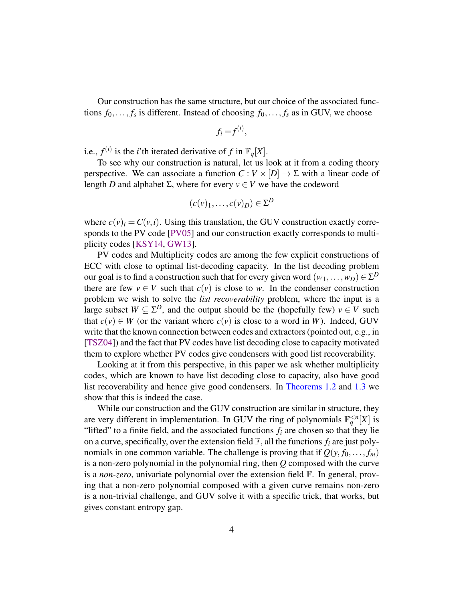<span id="page-4-0"></span>Our construction has the same structure, but our choice of the associated functions  $f_0, \ldots, f_s$  is different. Instead of choosing  $f_0, \ldots, f_s$  as in GUV, we choose

$$
f_i = f^{(i)},
$$

i.e.,  $f^{(i)}$  is the *i*'th iterated derivative of f in  $\mathbb{F}_q[X]$ .

To see why our construction is natural, let us look at it from a coding theory perspective. We can associate a function  $C: V \times [D] \rightarrow \Sigma$  with a linear code of length *D* and alphabet Σ, where for every  $v \in V$  we have the codeword

$$
(c(v)_1,\ldots,c(v)_D) \in \Sigma^D
$$

where  $c(v)$ <sub>i</sub> =  $C(v,i)$ . Using this translation, the GUV construction exactly corresponds to the PV code [\[PV05\]](#page-18-3) and our construction exactly corresponds to multiplicity codes [\[KSY14,](#page-18-4) [GW13\]](#page-18-5).

PV codes and Multiplicity codes are among the few explicit constructions of ECC with close to optimal list-decoding capacity. In the list decoding problem our goal is to find a construction such that for every given word  $(w_1,\ldots,w_D)\in \Sigma^D$ there are few  $v \in V$  such that  $c(v)$  is close to *w*. In the condenser construction problem we wish to solve the *list recoverability* problem, where the input is a large subset  $W \subseteq \Sigma^D$ , and the output should be the (hopefully few)  $v \in V$  such that  $c(v) \in W$  (or the variant where  $c(v)$  is close to a word in *W*). Indeed, GUV write that the known connection between codes and extractors (pointed out, e.g., in [\[TSZ04\]](#page--1-3)) and the fact that PV codes have list decoding close to capacity motivated them to explore whether PV codes give condensers with good list recoverability.

Looking at it from this perspective, in this paper we ask whether multiplicity codes, which are known to have list decoding close to capacity, also have good list recoverability and hence give good condensers. In [Theorems 1.2](#page-2-0) and [1.3](#page-2-1) we show that this is indeed the case.

While our construction and the GUV construction are similar in structure, they are very different in implementation. In GUV the ring of polynomials  $\mathbb{F}_q^{\leq n}[X]$  is "lifted" to a finite field, and the associated functions  $f_i$  are chosen so that they lie on a curve, specifically, over the extension field  $\mathbb{F}$ , all the functions  $f_i$  are just polynomials in one common variable. The challenge is proving that if  $Q(y, f_0, \ldots, f_m)$ is a non-zero polynomial in the polynomial ring, then *Q* composed with the curve is a *non-zero*, univariate polynomial over the extension field F. In general, proving that a non-zero polynomial composed with a given curve remains non-zero is a non-trivial challenge, and GUV solve it with a specific trick, that works, but gives constant entropy gap.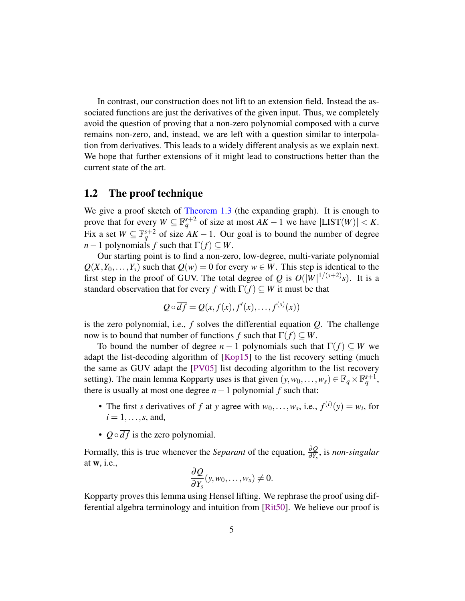<span id="page-5-0"></span>In contrast, our construction does not lift to an extension field. Instead the associated functions are just the derivatives of the given input. Thus, we completely avoid the question of proving that a non-zero polynomial composed with a curve remains non-zero, and, instead, we are left with a question similar to interpolation from derivatives. This leads to a widely different analysis as we explain next. We hope that further extensions of it might lead to constructions better than the current state of the art.

### 1.2 The proof technique

We give a proof sketch of [Theorem 1.3](#page-2-1) (the expanding graph). It is enough to prove that for every  $W \subseteq \mathbb{F}_q^{s+2}$  of size at most  $AK - 1$  we have  $|LIST(W)| < K$ . Fix a set  $W \subseteq \mathbb{F}_q^{s+2}$  of size  $\overline{AK} - 1$ . Our goal is to bound the number of degree *n*−1 polynomials *f* such that  $\Gamma(f) \subseteq W$ .

Our starting point is to find a non-zero, low-degree, multi-variate polynomial  $Q(X, Y_0, \ldots, Y_s)$  such that  $Q(w) = 0$  for every  $w \in W$ . This step is identical to the first step in the proof of GUV. The total degree of *Q* is  $O(|W|^{1/(s+2)}s)$ . It is a standard observation that for every *f* with  $\Gamma(f) \subseteq W$  it must be that

$$
Q \circ \overline{df} = Q(x, f(x), f'(x), \dots, f^{(s)}(x))
$$

is the zero polynomial, i.e.,  $f$  solves the differential equation  $Q$ . The challenge now is to bound that number of functions *f* such that  $\Gamma(f) \subset W$ .

To bound the number of degree  $n-1$  polynomials such that  $\Gamma(f) \subset W$  we adapt the list-decoding algorithm of [\[Kop15\]](#page-18-6) to the list recovery setting (much the same as GUV adapt the [\[PV05\]](#page-18-3) list decoding algorithm to the list recovery setting). The main lemma Kopparty uses is that given  $(y, w_0, \ldots, w_s) \in \mathbb{F}_q \times \mathbb{F}_q^{s+1}$ , there is usually at most one degree  $n-1$  polynomial  $f$  such that:

- The first *s* derivatives of *f* at *y* agree with  $w_0, \ldots, w_s$ , i.e.,  $f^{(i)}(y) = w_i$ , for  $i = 1, \ldots, s$ , and,
- $Q \circ \overline{df}$  is the zero polynomial.

Formally, this is true whenever the *Separant* of the equation, <sup>∂</sup>*<sup>Q</sup>* ∂*Ys* , is *non-singular* at w, i.e.,

$$
\frac{\partial Q}{\partial Y_s}(y, w_0, \dots, w_s) \neq 0.
$$

Kopparty proves this lemma using Hensel lifting. We rephrase the proof using differential algebra terminology and intuition from [\[Rit50\]](#page-18-7). We believe our proof is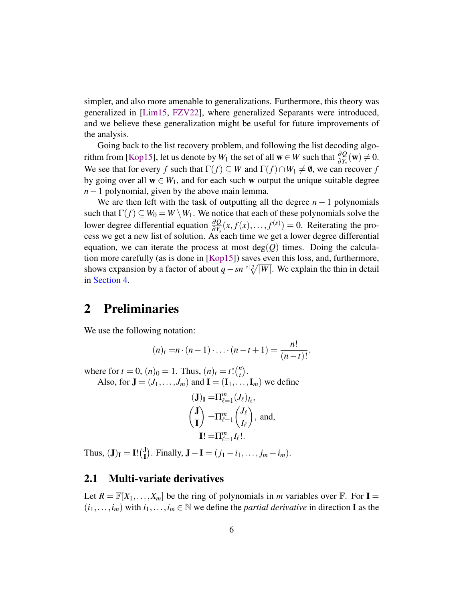<span id="page-6-0"></span>simpler, and also more amenable to generalizations. Furthermore, this theory was generalized in [\[Lim15,](#page-18-8) [FZV22\]](#page-18-9), where generalized Separants were introduced, and we believe these generalization might be useful for future improvements of the analysis.

Going back to the list recovery problem, and following the list decoding algo-rithm from [\[Kop15\]](#page-18-6), let us denote by  $W_1$  the set of all  $\mathbf{w} \in W$  such that  $\frac{\partial Q}{\partial Y_s}(\mathbf{w}) \neq 0$ . We see that for every *f* such that  $\Gamma(f) \subseteq W$  and  $\Gamma(f) \cap W_1 \neq \emptyset$ , we can recover *f* by going over all  $w \in W_1$ , and for each such w output the unique suitable degree *n*−1 polynomial, given by the above main lemma.

We are then left with the task of outputting all the degree  $n - 1$  polynomials such that  $\Gamma(f) \subseteq W_0 = W \setminus W_1$ . We notice that each of these polynomials solve the lower degree differential equation  $\frac{\partial Q}{\partial Y_s}(x, f(x), \ldots, f^{(s)}) = 0$ . Reiterating the process we get a new list of solution. As each time we get a lower degree differential equation, we can iterate the process at most  $deg(Q)$  times. Doing the calculation more carefully (as is done in [\[Kop15\]](#page-18-6)) saves even this loss, and, furthermore, shows expansion by a factor of about  $q - sn \sqrt[s+2]{|W|}$ . We explain the thin in detail in [Section 4.](#page-12-0)

### 2 Preliminaries

We use the following notation:

$$
(n)_t = n \cdot (n-1) \cdot \ldots \cdot (n-t+1) = \frac{n!}{(n-t)!},
$$

where for  $t = 0$ ,  $(n)_0 = 1$ . Thus,  $(n)_t = t! {n \choose t}$  $\binom{n}{t}$ . Also, for  $\mathbf{J} = (J_1, \ldots, J_m)$  and  $\mathbf{I} = (\mathbf{I}_1, \ldots, \mathbf{I}_m)$  we define

$$
(\mathbf{J})_{\mathbf{I}} = \Pi_{\ell=1}^{m} (J_{\ell})_{I_{\ell}},
$$

$$
\begin{pmatrix} \mathbf{J} \\ \mathbf{I} \end{pmatrix} = \Pi_{\ell=1}^{m} \begin{pmatrix} J_{\ell} \\ I_{\ell} \end{pmatrix}, \text{ and,}
$$

$$
\mathbf{I}! = \Pi_{\ell=1}^{m} I_{\ell}!.
$$

Thus,  $(\mathbf{J})_{\mathbf{I}} = \mathbf{I}! \begin{pmatrix} \mathbf{J} \\ \mathbf{I} \end{pmatrix}$  $\mathbf{J}$ ). Finally,  $\mathbf{J} - \mathbf{I} = (j_1 - i_1, \dots, j_m - i_m)$ .

#### 2.1 Multi-variate derivatives

Let  $R = \mathbb{F}[X_1, \ldots, X_m]$  be the ring of polynomials in *m* variables over  $\mathbb{F}$ . For  $I =$  $(i_1,...,i_m)$  with  $i_1,...,i_m \in \mathbb{N}$  we define the *partial derivative* in direction **I** as the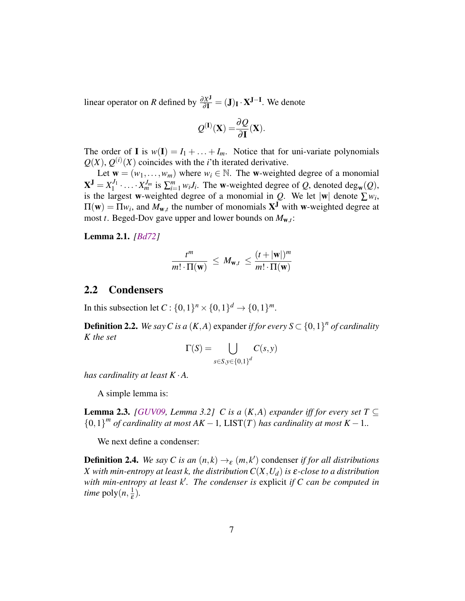<span id="page-7-3"></span>linear operator on *R* defined by  $\frac{\partial X^J}{\partial I} = (J)_I \cdot X^{J-I}$ . We denote

$$
Q^{(I)}(\mathbf{X}) = \frac{\partial Q}{\partial \mathbf{I}}(\mathbf{X}).
$$

The order of **I** is  $w(I) = I_1 + ... + I_m$ . Notice that for uni-variate polynomials  $Q(X)$ ,  $Q^{(i)}(X)$  coincides with the *i*'th iterated derivative.

Let  $\mathbf{w} = (w_1, \dots, w_m)$  where  $w_i \in \mathbb{N}$ . The w-weighted degree of a monomial  $X^{J} = X_1^{J_1}$  $X_1^{J_1} \cdot \ldots \cdot X_m^{J_m}$  is  $\sum_{i=1}^m w_i J_i$ . The w-weighted degree of *Q*, denoted deg<sub>w</sub>(*Q*), is the largest w-weighted degree of a monomial in  $Q$ . We let  $|w|$  denote  $\sum w_i$ ,  $\Pi(\mathbf{w}) = \Pi w_i$ , and  $M_{\mathbf{w},t}$  the number of monomials  $\mathbf{X}^{\mathbf{J}}$  with w-weighted degree at most *t*. Beged-Dov gave upper and lower bounds on *M*w,*<sup>t</sup>* :

<span id="page-7-1"></span>Lemma 2.1. *[\[Bd72\]](#page-17-1)*

$$
\frac{t^m}{m! \cdot \Pi(\mathbf{w})} \leq M_{\mathbf{w},t} \leq \frac{(t+|\mathbf{w}|)^m}{m! \cdot \Pi(\mathbf{w})}
$$

### 2.2 Condensers

In this subsection let  $C: \{0,1\}^n \times \{0,1\}^d \to \{0,1\}^m$ .

**Definition 2.2.** We say C is a  $(K, A)$  expander if for every  $S \subset \{0, 1\}^n$  of cardinality *K the set*

$$
\Gamma(S) = \bigcup_{s \in S, y \in \{0,1\}^d} C(s, y)
$$

*has cardinality at least K* ·*A.*

A simple lemma is:

<span id="page-7-2"></span>**Lemma 2.3.** *[\[GUV09,](#page-18-1) Lemma 3.2] C is a (K,A) expander iff for every set*  $T \subseteq$  ${0,1}^m$  *of cardinality at most AK* − 1, LIST(*T*) *has cardinality at most K* − 1..

We next define a condenser:

<span id="page-7-0"></span>**Definition 2.4.** *We say C is an*  $(n, k) \rightarrow_{\varepsilon} (m, k')$  condenser *if for all distributions X with min-entropy at least k, the distribution C*(*X*,*Ud*) *is* ε*-close to a distribution with min-entropy at least k*′ *. The condenser is* explicit *if C can be computed in time* poly $(n, \frac{1}{5})$  $(\frac{1}{\varepsilon})$ .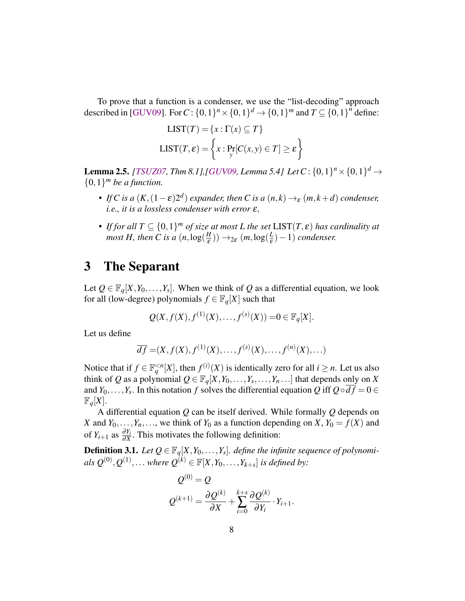<span id="page-8-1"></span>To prove that a function is a condenser, we use the "list-decoding" approach described in [\[GUV09\]](#page-18-1). For  $C: \{0,1\}^n \times \{0,1\}^d \rightarrow \{0,1\}^m$  and  $T \subseteq \{0,1\}^n$  define:

$$
LIST(T) = \{x : \Gamma(x) \subseteq T\}
$$

$$
LIST(T, \varepsilon) = \left\{x : \Pr_{y}[C(x, y) \in T] \ge \varepsilon\right\}
$$

<span id="page-8-0"></span>**Lemma 2.5.** *[\[TSUZ07,](#page--1-4) Thm 8.1],[\[GUV09,](#page-18-1) Lemma 5.4] Let*  $C$  :  $\{0,1\}^n \times \{0,1\}^d \rightarrow$  ${0,1}^m$  *be a function.* 

- *If* C is a  $(K, (1 \varepsilon)2^d)$  expander, then C is a  $(n, k) \rightarrow_{\varepsilon} (m, k + d)$  condenser, *i.e., it is a lossless condenser with error* ε*,*
- *If for all*  $T \subseteq \{0,1\}^m$  *of size at most* L the set  $LIST(T, \varepsilon)$  has cardinality at *most H*, then *C* is a  $(n, \log(\frac{H}{\epsilon}))$  $(\frac{H}{\varepsilon})) \rightarrow_{2\varepsilon} (m, \log(\frac{L}{\varepsilon}))$  $\frac{L}{\varepsilon}$ ) – 1) *condenser.*

### 3 The Separant

Let  $Q \in \mathbb{F}_q[X, Y_0, \ldots, Y_s]$ . When we think of *Q* as a differential equation, we look for all (low-degree) polynomials  $f \in \mathbb{F}_q[X]$  such that

$$
Q(X, f(X), f^{(1)}(X),..., f^{(s)}(X)) = 0 \in \mathbb{F}_q[X].
$$

Let us define

$$
\overline{df} = (X, f(X), f^{(1)}(X), \dots, f^{(s)}(X), \dots, f^{(n)}(X), \dots)
$$

Notice that if  $f \in \mathbb{F}_q^{\leq n}[X]$ , then  $f^{(i)}(X)$  is identically zero for all  $i \geq n$ . Let us also think of *Q* as a polynomial  $Q \in \mathbb{F}_q[X, Y_0, \ldots, Y_s, \ldots, Y_n \ldots]$  that depends only on *X* and *Y*<sub>0</sub>,...,*Y*<sub>*s*</sub>. In this notation *f* solves the differential equation *Q* iff  $Q \circ df = 0 \in$  $\mathbb{F}_q[X]$ .

A differential equation *Q* can be itself derived. While formally *Q* depends on *X* and  $Y_0, \ldots, Y_n, \ldots$ , we think of  $Y_0$  as a function depending on *X*,  $Y_0 = f(X)$  and of  $Y_{i+1}$  as  $\frac{\partial Y_i}{\partial X}$ . This motivates the following definition:

**Definition 3.1.** Let  $Q \in \mathbb{F}_q[X, Y_0, \ldots, Y_s]$ . define the infinite sequence of polynomi $als \ Q^{(0)}, Q^{(1)}, \ldots$  *where*  $Q^{(k)} \in \mathbb{F}[X, Y_0, \ldots, Y_{k+s}]$  *is defined by:* 

$$
Q^{(0)} = Q
$$
  

$$
Q^{(k+1)} = \frac{\partial Q^{(k)}}{\partial X} + \sum_{i=0}^{k+s} \frac{\partial Q^{(k)}}{\partial Y_i} \cdot Y_{i+1}.
$$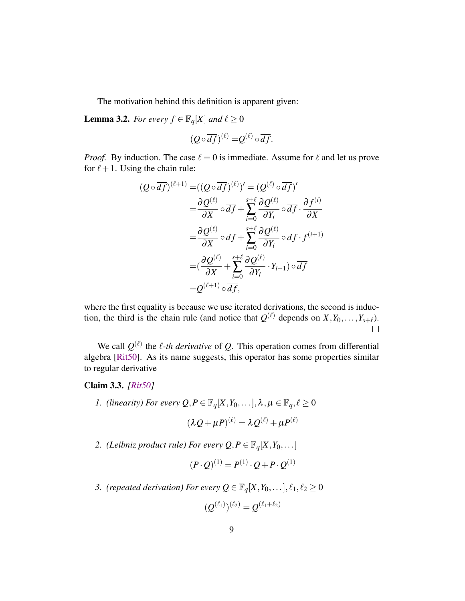<span id="page-9-2"></span>The motivation behind this definition is apparent given:

<span id="page-9-1"></span>**Lemma 3.2.** *For every*  $f \in \mathbb{F}_q[X]$  *and*  $\ell \geq 0$ 

$$
(Q \circ \overline{df})^{(\ell)} = Q^{(\ell)} \circ \overline{df}.
$$

*Proof.* By induction. The case  $\ell = 0$  is immediate. Assume for  $\ell$  and let us prove for  $\ell + 1$ . Using the chain rule:

$$
(Q \circ \overline{df})^{(\ell+1)} = ((Q \circ \overline{df})^{(\ell)})' = (Q^{(\ell)} \circ \overline{df})'
$$
  
\n
$$
= \frac{\partial Q^{(\ell)}}{\partial X} \circ \overline{df} + \sum_{i=0}^{s+\ell} \frac{\partial Q^{(\ell)}}{\partial Y_i} \circ \overline{df} \cdot \frac{\partial f^{(i)}}{\partial X}
$$
  
\n
$$
= \frac{\partial Q^{(\ell)}}{\partial X} \circ \overline{df} + \sum_{i=0}^{s+\ell} \frac{\partial Q^{(\ell)}}{\partial Y_i} \circ \overline{df} \cdot f^{(i+1)}
$$
  
\n
$$
= (\frac{\partial Q^{(\ell)}}{\partial X} + \sum_{i=0}^{s+\ell} \frac{\partial Q^{(\ell)}}{\partial Y_i} \cdot Y_{i+1}) \circ \overline{df}
$$
  
\n
$$
= Q^{(\ell+1)} \circ \overline{df},
$$

where the first equality is because we use iterated derivations, the second is induction, the third is the chain rule (and notice that  $Q^{(\ell)}$  depends on  $X, Y_0, \ldots, Y_{s+\ell}$ ).  $\Box$ 

We call  $Q^{(\ell)}$  the  $\ell$ -th derivative of Q. This operation comes from differential algebra [\[Rit50\]](#page-18-7). As its name suggests, this operator has some properties similar to regular derivative

#### Claim 3.3. *[\[Rit50\]](#page-18-7)*

*1. (linearity) For every*  $Q, P \in \mathbb{F}_q[X, Y_0, \ldots], \lambda, \mu \in \mathbb{F}_q, \ell \geq 0$ 

$$
(\lambda Q + \mu P)^{(\ell)} = \lambda Q^{(\ell)} + \mu P^{(\ell)}
$$

2. *(Leibniz product rule) For every*  $Q, P \in \mathbb{F}_q[X, Y_0, \dots]$ 

$$
(P \cdot Q)^{(1)} = P^{(1)} \cdot Q + P \cdot Q^{(1)}
$$

<span id="page-9-0"></span>*3. (repeated derivation) For every*  $Q \in \mathbb{F}_q[X, Y_0, \ldots], \ell_1, \ell_2 \ge 0$ 

$$
(Q^{(\ell_1)})^{(\ell_2)} = Q^{(\ell_1+\ell_2)}
$$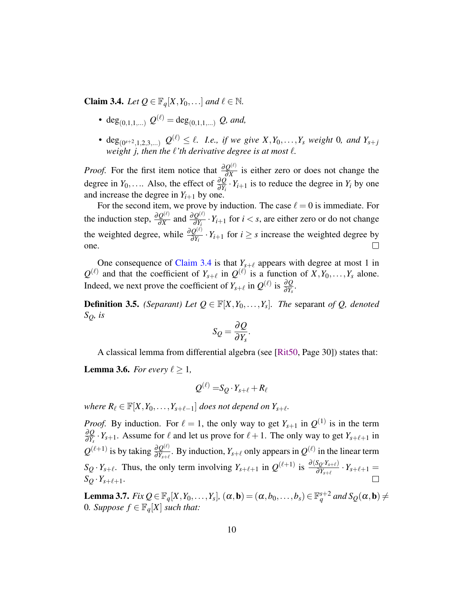<span id="page-10-2"></span>**Claim 3.4.** *Let*  $Q \in \mathbb{F}_q[X, Y_0, \ldots]$  *and*  $\ell \in \mathbb{N}$ *.* 

- deg<sub>(0,1,1,...)</sub>  $Q^{(\ell)} = \text{deg}_{(0,1,1,...)} Q$ , and,
- deg<sub>(0<sup>s+2</sup>,1,2,3,...)</sub>  $Q^{(\ell)} \leq \ell$ . *I.e., if we give*  $X, Y_0, \ldots, Y_s$  *weight* 0*, and*  $Y_{s+j}$ *weight j, then the* ℓ*'th derivative degree is at most* ℓ*.*

*Proof.* For the first item notice that  $\frac{\partial Q^{(\ell)}}{\partial x}$  $\frac{Q^{(0)}}{\partial X}$  is either zero or does not change the degree in *Y*<sub>0</sub>,.... Also, the effect of  $\frac{\partial Q}{\partial Y_i} \cdot Y_{i+1}$  is to reduce the degree in *Y<sub>i</sub>* by one and increase the degree in  $Y_{i+1}$  by one.

For the second item, we prove by induction. The case  $\ell = 0$  is immediate. For the induction step,  $\frac{\partial Q^{(\ell)}}{\partial x}$  $rac{Q^{(\ell)}}{\partial X}$  and  $rac{\partial Q^{(\ell)}}{\partial Y_i}$  $\frac{Q^{(s)}}{\partial Y_i} \cdot Y_{i+1}$  for  $i < s$ , are either zero or do not change the weighted degree, while  $\frac{\partial Q^{(\ell)}}{\partial y}$  $\frac{Q^{(x)}}{\partial Y_i} \cdot Y_{i+1}$  for  $i \geq s$  increase the weighted degree by  $\Box$ one.

One consequence of [Claim 3.4](#page-9-0) is that  $Y_{s+\ell}$  appears with degree at most 1 in  $Q^{(\ell)}$  and that the coefficient of  $Y_{s+\ell}$  in  $Q^{(\ell)}$  is a function of  $X, Y_0, \ldots, Y_s$  alone. Indeed, we next prove the coefficient of  $Y_{s+\ell}$  in  $Q^{(\ell)}$  is  $\frac{\partial Q}{\partial Y_s}$ .

**Definition 3.5.** *(Separant) Let*  $Q \in \mathbb{F}[X, Y_0, \ldots, Y_s]$ *. The separant of Q, denoted SQ, is*

$$
S_Q = \frac{\partial Q}{\partial Y_s}.
$$

A classical lemma from differential algebra (see [\[Rit50,](#page-18-7) Page 30]) states that:

<span id="page-10-0"></span>**Lemma 3.6.** *For every*  $\ell > 1$ *,* 

$$
\mathcal{Q}^{(\ell)} = S_{\mathcal{Q}} \cdot Y_{s+\ell} + R_{\ell}
$$

*where*  $R_{\ell} \in \mathbb{F}[X, Y_0, \ldots, Y_{s+\ell-1}]$  *does not depend on*  $Y_{s+\ell}$ *.* 

*Proof.* By induction. For  $\ell = 1$ , the only way to get  $Y_{s+1}$  in  $Q^{(1)}$  is in the term ∂*Q*  $\frac{\partial Q}{\partial Y_s}$  ·  $Y_{s+1}$ . Assume for  $\ell$  and let us prove for  $\ell + 1$ . The only way to get  $Y_{s+\ell+1}$  in  $Q^{(\ell+1)}$  is by taking  $\frac{\partial Q^{(\ell)}}{\partial Y}$  $\frac{\partial Q^{(\ell)}}{\partial Y_{s+\ell}}$ . By induction,  $Y_{s+\ell}$  only appears in  $Q^{(\ell)}$  in the linear term  $S_Q \cdot Y_{s+\ell}$ . Thus, the only term involving  $Y_{s+\ell+1}$  in  $Q^{(\ell+1)}$  is  $\frac{\partial (S_Q \cdot Y_{s+\ell})}{\partial Y_{s+\ell}} \cdot Y_{s+\ell+1} =$  $S_Q \cdot Y_{s+\ell+1}$ .

<span id="page-10-1"></span>**Lemma 3.7.** *Fix*  $Q \in \mathbb{F}_q[X, Y_0, \ldots, Y_s]$ ,  $(\alpha, \mathbf{b}) = (\alpha, b_0, \ldots, b_s) \in \mathbb{F}_q^{s+2}$  and  $S_Q(\alpha, \mathbf{b}) \neq 0$ 0*. Suppose*  $f \in \mathbb{F}_q[X]$  *such that:*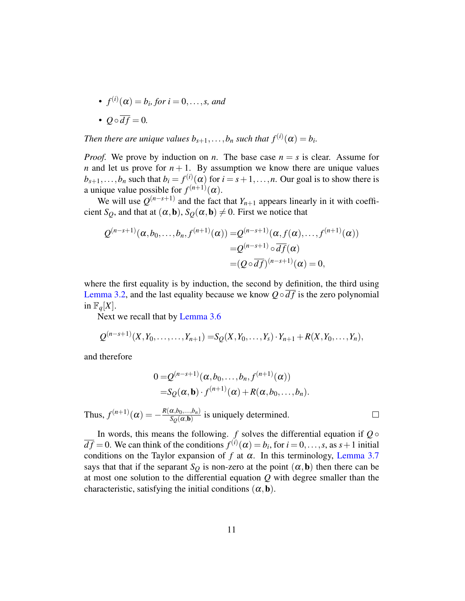• 
$$
f^{(i)}(\alpha) = b_i
$$
, for  $i = 0, ..., s$ , and  
\n•  $Q \circ \overline{df} = 0$ .

*Then there are unique values*  $b_{s+1},...,b_n$  *such that*  $f^{(i)}(\alpha) = b_i$ .

*Proof.* We prove by induction on *n*. The base case  $n = s$  is clear. Assume for *n* and let us prove for  $n + 1$ . By assumption we know there are unique values  $b_{s+1}, \ldots, b_n$  such that  $b_i = f^{(i)}(a)$  for  $i = s+1, \ldots, n$ . Our goal is to show there is a unique value possible for  $f^{(n+1)}(\alpha)$ .

We will use  $Q^{(n-s+1)}$  and the fact that  $Y_{n+1}$  appears linearly in it with coefficient *S*<sup>*Q*</sup>, and that at  $(\alpha, \mathbf{b})$ , *S*<sup>*Q*</sup>( $\alpha, \mathbf{b}$ )  $\neq$  0. First we notice that

$$
Q^{(n-s+1)}(\alpha, b_0, \dots, b_n, f^{(n+1)}(\alpha)) = Q^{(n-s+1)}(\alpha, f(\alpha), \dots, f^{(n+1)}(\alpha))
$$
  
=  $Q^{(n-s+1)} \circ \overline{df}(\alpha)$   
=  $(Q \circ \overline{df})^{(n-s+1)}(\alpha) = 0$ ,

where the first equality is by induction, the second by definition, the third using [Lemma 3.2,](#page-9-1) and the last equality because we know  $Q \circ df$  is the zero polynomial in  $\mathbb{F}_q[X]$ .

Next we recall that by [Lemma 3.6](#page-10-0)

$$
Q^{(n-s+1)}(X,Y_0,\ldots,\ldots,Y_{n+1})=S_Q(X,Y_0,\ldots,Y_s)\cdot Y_{n+1}+R(X,Y_0,\ldots,Y_n),
$$

and therefore

$$
0 = Q^{(n-s+1)}(\alpha, b_0, \ldots, b_n, f^{(n+1)}(\alpha))
$$
  
=S<sub>Q</sub>( $\alpha$ ,**b**) \cdot f<sup>(n+1)</sup>( $\alpha$ ) + R( $\alpha$ , b<sub>0</sub>, \ldots, b<sub>n</sub>).

Thus,  $f^{(n+1)}(\alpha) = -\frac{R(\alpha,b_0,...,b_n)}{S_{\alpha}(\alpha,\mathbf{b})}$  $\frac{\alpha, \beta_0, ..., \beta_n}{S_Q(\alpha, \mathbf{b})}$  is uniquely determined.

In words, this means the following.  $f$  solves the differential equation if  $Q \circ$  $\overline{df} = 0$ . We can think of the conditions  $f^{(i)}(\alpha) = b_i$ , for  $i = 0, \ldots, s$ , as  $s + 1$  initial conditions on the Taylor expansion of  $f$  at  $\alpha$ . In this terminology, [Lemma 3.7](#page-10-1) says that that if the separant  $S_Q$  is non-zero at the point  $(\alpha, \mathbf{b})$  then there can be at most one solution to the differential equation *Q* with degree smaller than the characteristic, satisfying the initial conditions  $(\alpha, \mathbf{b})$ .

 $\Box$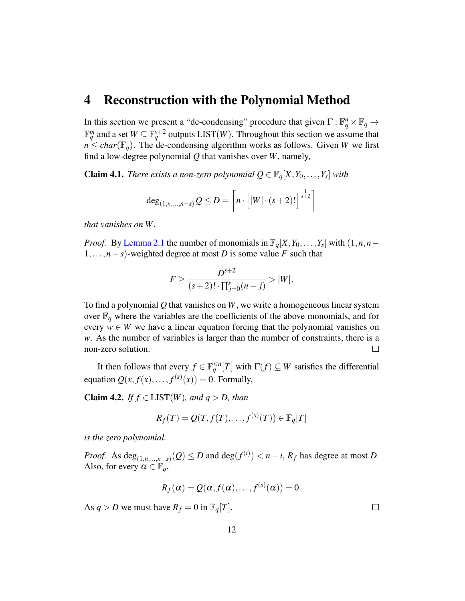### <span id="page-12-0"></span>4 Reconstruction with the Polynomial Method

In this section we present a "de-condensing" procedure that given  $\Gamma : \mathbb{F}_q^n \times \mathbb{F}_q \to$  $\mathbb{F}_q^m$  and a set  $W \subseteq \mathbb{F}_q^{s+2}$  outputs LIST $(W)$ . Throughout this section we assume that  $n \leq$  *char*( $\mathbb{F}_q$ ). The de-condensing algorithm works as follows. Given *W* we first find a low-degree polynomial *Q* that vanishes over *W*, namely,

<span id="page-12-1"></span>**Claim 4.1.** *There exists a non-zero polynomial*  $Q \in \mathbb{F}_q[X, Y_0, \ldots, Y_s]$  *with* 

$$
\deg_{(1,n,\ldots,n-s)} Q \le D = \left\lceil n \cdot \left[ |W| \cdot (s+2)! \right]^{\frac{1}{s+2}} \right\rceil
$$

*that vanishes on W.*

*Proof.* By [Lemma 2.1](#page-7-1) the number of monomials in  $\mathbb{F}_q[X, Y_0, \ldots, Y_s]$  with  $(1, n, n -$ 1,...,*n*−*s*)-weighted degree at most *D* is some value *F* such that

$$
F \ge \frac{D^{s+2}}{(s+2)! \cdot \prod_{j=0}^{s} (n-j)} > |W|.
$$

To find a polynomial *Q* that vanishes on *W*, we write a homogeneous linear system over  $\mathbb{F}_q$  where the variables are the coefficients of the above monomials, and for every  $w \in W$  we have a linear equation forcing that the polynomial vanishes on *w*. As the number of variables is larger than the number of constraints, there is a non-zero solution.  $\Box$ 

It then follows that every  $f \in \mathbb{F}_q^{\leq n}[T]$  with  $\Gamma(f) \subseteq W$  satisfies the differential equation  $Q(x, f(x),..., f^{(s)}(x)) = 0$ . Formally,

**Claim 4.2.** *If*  $f \in \text{LIST}(W)$ *, and*  $q > D$ *, than* 

$$
R_f(T) = Q(T, f(T), \dots, f^{(s)}(T)) \in \mathbb{F}_q[T]
$$

*is the zero polynomial.*

*Proof.* As  $deg_{(1,n,...,n-s)}(Q) \le D$  and  $deg(f^{(i)}) < n-i$ ,  $R_f$  has degree at most *D*. Also, for every  $\alpha \in \mathbb{F}_q$ ,

$$
R_f(\alpha) = Q(\alpha, f(\alpha), \ldots, f^{(s)}(\alpha)) = 0.
$$

As  $q > D$  we must have  $R_f = 0$  in  $\mathbb{F}_q[T]$ .

 $\Box$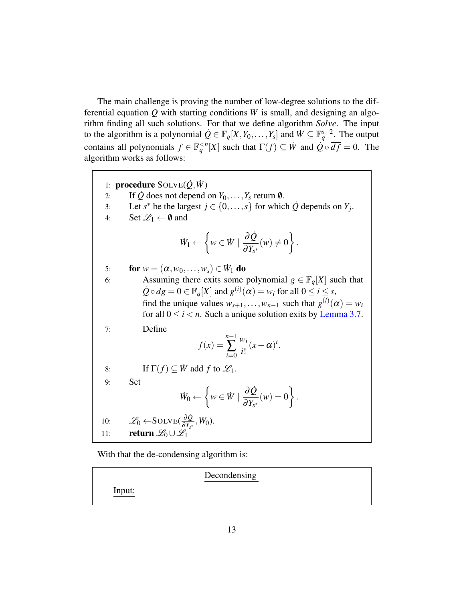The main challenge is proving the number of low-degree solutions to the differential equation *Q* with starting conditions *W* is small, and designing an algorithm finding all such solutions. For that we define algorithm *Solve*. The input to the algorithm is a polynomial  $\dot{Q} \in \mathbb{F}_q[X, Y_0, \dots, Y_s]$  and  $\dot{W} \subseteq \mathbb{F}_q^{s+2}$ . The output contains all polynomials  $f \in \mathbb{F}_q^{\leq n}[X]$  such that  $\Gamma(f) \subseteq \dot{W}$  and  $\dot{Q} \circ \overline{df} = 0$ . The algorithm works as follows:

<span id="page-13-0"></span>1: **procedure**  $SOLVE(\dot{Q}, \dot{W})$ 2: If  $\dot{Q}$  does not depend on  $Y_0, \ldots, Y_s$  return  $\emptyset$ . 3: Let  $s^*$  be the largest  $j \in \{0, \ldots, s\}$  for which  $\dot{Q}$  depends on  $Y_j$ . 4: Set  $\mathscr{L}_1 \leftarrow \emptyset$  and  $\dot{W}_1 \leftarrow$  $\left\{ w \in \dot{W} \mid \frac{\partial \dot{Q}}{\partial x} \right\}$  $\frac{\partial \mathcal{L}}{\partial Y_{s^*}}(w) \neq 0$  $\mathcal{L}$ . 5: **for**  $w = (\alpha, w_0, \dots, w_s) \in \dot{W}_1$  do 6: Assuming there exits some polynomial  $g \in \mathbb{F}_q[X]$  such that  $\dot{Q} \circ \overline{dg} = 0 \in \mathbb{F}_q[X]$  and  $g^{(i)}(\alpha) = w_i$  for all  $0 \le i \le s$ , find the unique values  $w_{s+1}, \ldots, w_{n-1}$  such that  $g^{(i)}(\alpha) = w_i$ for all  $0 \le i < n$ . Such a unique solution exits by [Lemma 3.7.](#page-10-1) 7: Define  $f(x) =$ *n*−1 ∑ *i*=0 *wi*  $\frac{w_i}{i!}(x-\alpha)^i$ . 8: If  $\Gamma(f) \subseteq W$  add *f* to  $\mathcal{L}_1$ . 9: Set  $\dot{W}_0 \leftarrow$  $\left\{ w \in \dot{W} \mid \frac{\partial \dot{Q}}{\partial x} \right\}$  $\frac{\partial \mathcal{L}}{\partial Y_{s^*}}(w) = 0$  $\mathcal{L}$ . 10:  $\mathscr{L}_0 \leftarrow \text{SOLVE}(\frac{\partial \dot{Q}}{\partial Y_{\mathcal{A}}})$  $\frac{\partial Q}{\partial Y_{s^*}}$ ,  $W_0$ ). 11: return  $\mathscr{L}_0 \cup \mathscr{L}_1$ 

<span id="page-13-1"></span>With that the de-condensing algorithm is:

Decondensing

Input: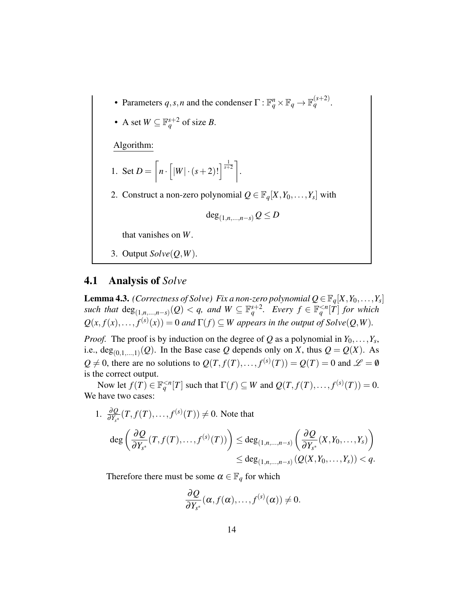- Parameters  $q, s, n$  and the condenser  $\Gamma : \mathbb{F}_q^n \times \mathbb{F}_q \to \mathbb{F}_q^{(s+2)}$ .
- A set  $W \subseteq \mathbb{F}_q^{s+2}$  of size *B*.

Algorithm:

1. Set 
$$
D = \left[ n \cdot \left[ |W| \cdot (s+2)! \right]^{1/2} \right].
$$

2. Construct a non-zero polynomial  $Q \in \mathbb{F}_q[X, Y_0, \ldots, Y_s]$  with

$$
\deg_{(1,n,\ldots,n-s)} Q \leq D
$$

that vanishes on *W*.

3. Output *Solve*(*Q*,*W*).

### 4.1 Analysis of *Solve*

<span id="page-14-0"></span>**Lemma 4.3.** *(Correctness of Solve) Fix a non-zero polynomial*  $Q \in \mathbb{F}_q[X, Y_0, \ldots, Y_s]$ *such that*  $\deg_{(1,n,\ldots,n-s)}(Q) < q$ , and  $W \subseteq \mathbb{F}_q^{s+2}$ . Every  $f \in \mathbb{F}_q^{ for which$  $Q(x, f(x), \ldots, f^{(s)}(x)) = 0$  *and*  $\Gamma(f) \subseteq W$  *appears in the output of Solve* $(Q, W)$ *.* 

*Proof.* The proof is by induction on the degree of *Q* as a polynomial in  $Y_0, \ldots, Y_s$ , i.e.,  $deg_{(0,1,...,1)}(Q)$ . In the Base case *Q* depends only on *X*, thus  $Q = Q(X)$ . As  $Q \neq 0$ , there are no solutions to  $Q(T, f(T),..., f^{(s)}(T)) = Q(T) = 0$  and  $\mathscr{L} = \emptyset$ is the correct output.

Now let  $f(T) \in \mathbb{F}_q^{\leq n}[T]$  such that  $\Gamma(f) \subseteq W$  and  $Q(T, f(T), \ldots, f^{(s)}(T)) = 0$ . We have two cases:

1. 
$$
\frac{\partial Q}{\partial Y_{s^*}}(T, f(T), \dots, f^{(s)}(T)) \neq 0
$$
. Note that  
\n
$$
\deg \left( \frac{\partial Q}{\partial Y_{s^*}}(T, f(T), \dots, f^{(s)}(T)) \right) \leq \deg_{(1, n, \dots, n-s)} \left( \frac{\partial Q}{\partial Y_{s^*}}(X, Y_0, \dots, Y_s) \right)
$$
\n
$$
\leq \deg_{(1, n, \dots, n-s)} (Q(X, Y_0, \dots, Y_s)) < q.
$$

Therefore there must be some  $\alpha \in \mathbb{F}_q$  for which

$$
\frac{\partial Q}{\partial Y_{s^*}}(\alpha, f(\alpha), \ldots, f^{(s)}(\alpha)) \neq 0.
$$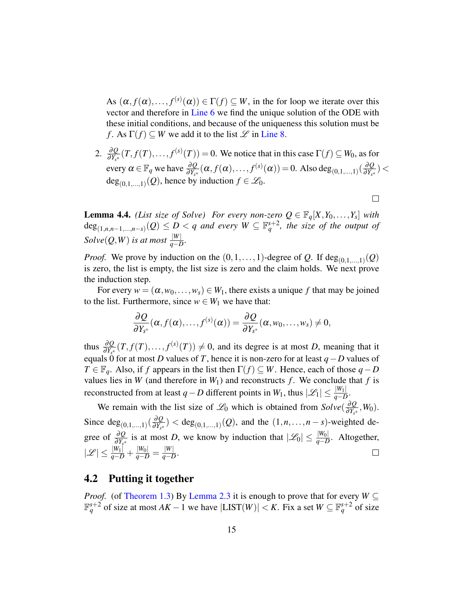As  $(\alpha, f(\alpha),..., f^{(s)}(\alpha)) \in \Gamma(f) \subseteq W$ , in the for loop we iterate over this vector and therefore in [Line 6](#page-13-0) we find the unique solution of the ODE with these initial conditions, and because of the uniqueness this solution must be *f*. As  $\Gamma(f) \subset W$  we add it to the list  $\mathscr L$  in [Line 8.](#page-13-1)

2.  $\frac{\partial Q}{\partial Y_{s*}}(T, f(T), \ldots, f^{(s)}(T)) = 0$ . We notice that in this case  $\Gamma(f) \subseteq W_0$ , as for every  $\alpha \in \mathbb{F}_q$  we have  $\frac{\partial Q}{\partial Y_{s^*}}(\alpha, f(\alpha), \dots, f^{(s)}(\alpha)) = 0$ . Also deg<sub>(0,1,...,1)</sub> ( $\frac{\partial Q}{\partial Y_{s^*}}$  $\frac{\partial Q}{\partial Y_{s^*}}$ )  $<$  $deg_{(0,1,...,1)}(Q)$ , hence by induction  $f \in \mathcal{L}_0$ .

 $\Box$ 

<span id="page-15-0"></span>**Lemma 4.4.** *(List size of Solve) For every non-zero*  $Q \in \mathbb{F}_q[X, Y_0, \ldots, Y_s]$  *with*  $deg_{(1,n,n-1,...,n-s)}(Q) \leq D < q$  and every  $W \subseteq \mathbb{F}_q^{s+2}$ , the size of the output of  $Solve(Q, W)$  *is at most*  $\frac{|W|}{q - D}$ *.* 

*Proof.* We prove by induction on the  $(0, 1, \ldots, 1)$ -degree of *Q*. If  $\text{deg}_{(0,1,\ldots,1)}(Q)$ is zero, the list is empty, the list size is zero and the claim holds. We next prove the induction step.

For every  $w = (\alpha, w_0, \dots, w_s) \in W_1$ , there exists a unique f that may be joined to the list. Furthermore, since  $w \in W_1$  we have that:

$$
\frac{\partial Q}{\partial Y_{s^*}}(\alpha, f(\alpha), \ldots, f^{(s)}(\alpha)) = \frac{\partial Q}{\partial Y_{s^*}}(\alpha, w_0, \ldots, w_s) \neq 0,
$$

thus  $\frac{\partial Q}{\partial Y_{s^*}}(T, f(T), \ldots, f^{(s)}(T)) \neq 0$ , and its degree is at most *D*, meaning that it equals 0 for at most *D* values of *T*, hence it is non-zero for at least  $q - D$  values of *T* ∈  $\mathbb{F}_q$ . Also, if *f* appears in the list then  $\Gamma(f) \subseteq W$ . Hence, each of those *q* − *D* values lies in *W* (and therefore in  $W_1$ ) and reconstructs *f*. We conclude that *f* is reconstructed from at least *q* − *D* different points in *W*<sub>1</sub>, thus  $|\mathscr{L}_1| \leq \frac{|W_1|}{q - D}$ .

We remain with the list size of  $\mathcal{L}_0$  which is obtained from  $Solve(\frac{\partial Q}{\partial Y_{\partial t}})$  $\frac{\partial Q}{\partial Y_{s^*}}$ ,  $W_0$ ). Since  $deg_{(0,1,...,1)}(\frac{\partial Q}{\partial Y_{s^*}})$  $\frac{\partial Q}{\partial Y_{s^*}}$  < deg<sub>(0,1,...,1)</sub>(*Q*), and the  $(1, n, \ldots, n - s)$ -weighted degree of  $\frac{\partial Q}{\partial Y_{s^*}}$  is at most *D*, we know by induction that  $|\mathcal{L}_0| \leq \frac{|W_0|}{q - D}$ . Altogether,  $|\mathscr{L}| \leq \frac{|W_1|}{q - D} + \frac{|W_0|}{q - D} = \frac{|W|}{q - L}$ *q*−*D* .  $\Box$ 

#### 4.2 Putting it together

*Proof.* (of [Theorem 1.3\)](#page-2-1) By [Lemma 2.3](#page-7-2) it is enough to prove that for every  $W \subseteq$  $\mathbb{F}_q^{s+2}$  of size at most  $AK - 1$  we have  $|LIST(W)| < K$ . Fix a set  $W \subseteq \mathbb{F}_q^{s+2}$  of size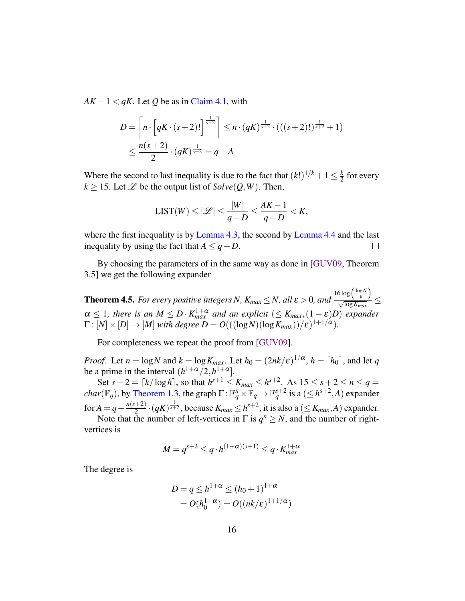<span id="page-16-1"></span> $AK - 1 < qK$ . Let Q be as in [Claim 4.1,](#page-12-1) with

$$
D = \left[ n \cdot \left[ qK \cdot (s+2)! \right]^{1 \over s+2} \right] \leq n \cdot (qK)^{1 \over s+2} \cdot (((s+2)!)^{\frac{1}{s+2}} + 1)
$$
  

$$
\leq \frac{n(s+2)}{2} \cdot (qK)^{1 \over s+2} = q - A
$$

Where the second to last inequality is due to the fact that  $(k!)^{1/k} + 1 \leq \frac{k}{2}$  $\frac{k}{2}$  for every  $k \ge 15$ . Let  $\mathscr L$  be the output list of  $Solve(Q, W)$ . Then,

$$
\text{LIST}(W) \le |\mathcal{L}| \le \frac{|W|}{q - D} \le \frac{AK - 1}{q - D} < K,
$$

where the first inequality is by [Lemma 4.3,](#page-14-0) the second by [Lemma 4.4](#page-15-0) and the last inequality by using the fact that  $A \leq q - D$ .  $\Box$ 

By choosing the parameters of in the same way as done in [\[GUV09,](#page-18-1) Theorem 3.5] we get the following expander

<span id="page-16-0"></span>**Theorem 4.5.** *For every positive integers N,*  $K_{max} \leq N$ , all  $\varepsilon > 0$ , and  $16\log\left(\frac{\log N}{\epsilon}\right)$  $\frac{\epsilon}{\sqrt{\log K_{max}}} \le$  $\alpha \leq 1$ , there is an  $M \leq D \cdot K_{max}^{1+\alpha}$  and an explicit  $(\leq K_{max}, (1-\varepsilon)D)$  expander  $\Gamma : [N] \times [D] \rightarrow [M]$  with degree  $D = O(((\log N)(\log K_{max}))/\varepsilon)^{1+1/\alpha}).$ 

For completeness we repeat the proof from [\[GUV09\]](#page-18-1).

*Proof.* Let  $n = \log N$  and  $k = \log K_{max}$ . Let  $h_0 = (2nk/\varepsilon)^{1/\alpha}$ ,  $h = \lceil h_0 \rceil$ , and let *q* be a prime in the interval  $(h^{1+\alpha}/2, h^{1+\alpha}]$ .

Set  $s + 2 = \lceil k / \log h \rceil$ , so that  $h^{s+1} \le K_{max} \le h^{s+2}$ . As  $15 \le s + 2 \le n \le q =$ *char*( $\mathbb{F}_q$ ), by [Theorem 1.3,](#page-2-1) the graph  $\Gamma: \mathbb{F}_q^n \times \mathbb{F}_q \to \mathbb{F}_q^{s+2}$  is a ( $\leq h^{s+2}$ , *A*) expander for  $A = q - \frac{n(s+2)}{2}$  $\frac{1}{2}$   $\cdot$   $(qK)^{\frac{1}{s+2}}$ , because  $K_{max} \leq h^{s+2}$ , it is also a  $(\leq K_{max}, A)$  expander.

Note that the number of left-vertices in  $\Gamma$  is  $q^n \geq N$ , and the number of rightvertices is

$$
M = q^{s+2} \leq q \cdot h^{(1+\alpha)(s+1)} \leq q \cdot K_{\text{max}}^{1+\alpha}
$$

The degree is

$$
D = q \le h^{1+\alpha} \le (h_0 + 1)^{1+\alpha}
$$
  
=  $O(h_0^{1+\alpha}) = O((nk/\varepsilon)^{1+1/\alpha})$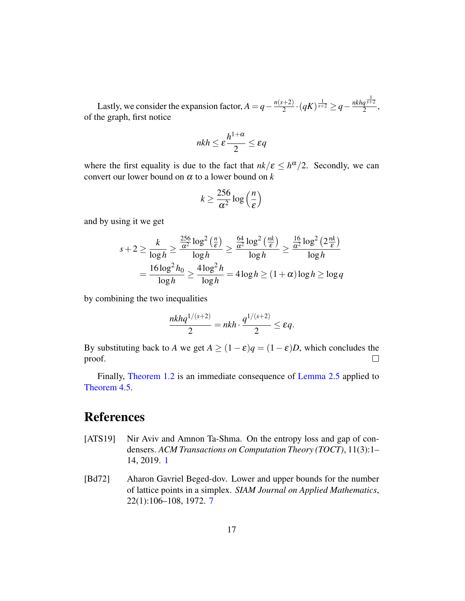Lastly, we consider the expansion factor,  $A = q - \frac{n(s+2)}{2}$  $\frac{q+2)}{2}$  ·  $(qK)^{\frac{1}{s+2}}$  ≥  $q-\frac{nkhq^{\frac{1}{s+2}}}{2}$  $\frac{q^{s+2}}{2},$ of the graph, first notice

$$
nkh \le \varepsilon \frac{h^{1+\alpha}}{2} \le \varepsilon q
$$

where the first equality is due to the fact that  $nk/\varepsilon \leq h^{\alpha}/2$ . Secondly, we can convert our lower bound on  $\alpha$  to a lower bound on  $k$ 

$$
k \ge \frac{256}{\alpha^2} \log\left(\frac{n}{\varepsilon}\right)
$$

and by using it we get

$$
s+2 \ge \frac{k}{\log h} \ge \frac{\frac{256}{\alpha^2} \log^2\left(\frac{n}{\varepsilon}\right)}{\log h} \ge \frac{\frac{64}{\alpha^2} \log^2\left(\frac{nk}{\varepsilon}\right)}{\log h} \ge \frac{\frac{16}{\alpha^2} \log^2\left(2\frac{nk}{\varepsilon}\right)}{\log h}
$$

$$
= \frac{16 \log^2 h_0}{\log h} \ge \frac{4 \log^2 h}{\log h} = 4 \log h \ge (1+\alpha) \log h \ge \log q
$$

by combining the two inequalities

$$
\frac{nkhq^{1/(s+2)}}{2} = nkh \cdot \frac{q^{1/(s+2)}}{2} \le \varepsilon q.
$$

By substituting back to *A* we get  $A \ge (1 - \varepsilon)q = (1 - \varepsilon)D$ , which concludes the proof.  $\Box$ 

Finally, [Theorem 1.2](#page-2-0) is an immediate consequence of [Lemma 2.5](#page-8-0) applied to [Theorem 4.5.](#page-16-0)

## References

- <span id="page-17-0"></span>[ATS19] Nir Aviv and Amnon Ta-Shma. On the entropy loss and gap of condensers. *ACM Transactions on Computation Theory (TOCT)*, 11(3):1– 14, 2019. [1](#page--1-5)
- <span id="page-17-1"></span>[Bd72] Aharon Gavriel Beged-dov. Lower and upper bounds for the number of lattice points in a simplex. *SIAM Journal on Applied Mathematics*, 22(1):106–108, 1972. [7](#page-7-3)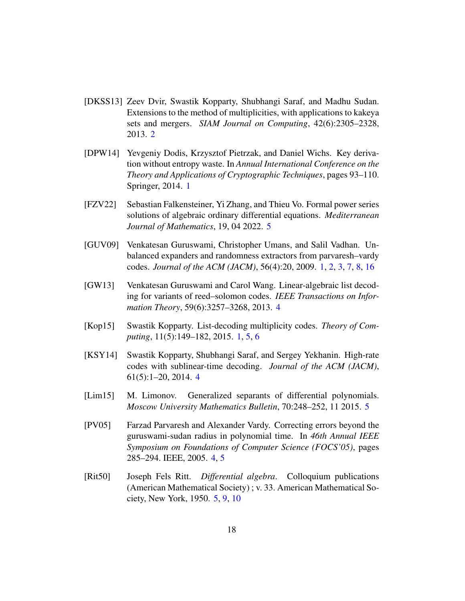- <span id="page-18-2"></span>[DKSS13] Zeev Dvir, Swastik Kopparty, Shubhangi Saraf, and Madhu Sudan. Extensions to the method of multiplicities, with applications to kakeya sets and mergers. *SIAM Journal on Computing*, 42(6):2305–2328, 2013. [2](#page-2-2)
- <span id="page-18-0"></span>[DPW14] Yevgeniy Dodis, Krzysztof Pietrzak, and Daniel Wichs. Key derivation without entropy waste. In *Annual International Conference on the Theory and Applications of Cryptographic Techniques*, pages 93–110. Springer, 2014. [1](#page--1-5)
- <span id="page-18-9"></span>[FZV22] Sebastian Falkensteiner, Yi Zhang, and Thieu Vo. Formal power series solutions of algebraic ordinary differential equations. *Mediterranean Journal of Mathematics*, 19, 04 2022. [5](#page-5-0)
- <span id="page-18-1"></span>[GUV09] Venkatesan Guruswami, Christopher Umans, and Salil Vadhan. Unbalanced expanders and randomness extractors from parvaresh–vardy codes. *Journal of the ACM (JACM)*, 56(4):20, 2009. [1,](#page--1-5) [2,](#page-2-2) [3,](#page-3-0) [7,](#page-7-3) [8,](#page-8-1) [16](#page-16-1)
- <span id="page-18-5"></span>[GW13] Venkatesan Guruswami and Carol Wang. Linear-algebraic list decoding for variants of reed–solomon codes. *IEEE Transactions on Information Theory*, 59(6):3257–3268, 2013. [4](#page-4-0)
- <span id="page-18-6"></span>[Kop15] Swastik Kopparty. List-decoding multiplicity codes. *Theory of Computing*, 11(5):149–182, 2015. [1,](#page--1-5) [5,](#page-5-0) [6](#page-6-0)
- <span id="page-18-4"></span>[KSY14] Swastik Kopparty, Shubhangi Saraf, and Sergey Yekhanin. High-rate codes with sublinear-time decoding. *Journal of the ACM (JACM)*, 61(5):1–20, 2014. [4](#page-4-0)
- <span id="page-18-8"></span>[Lim15] M. Limonov. Generalized separants of differential polynomials. *Moscow University Mathematics Bulletin*, 70:248–252, 11 2015. [5](#page-5-0)
- <span id="page-18-3"></span>[PV05] Farzad Parvaresh and Alexander Vardy. Correcting errors beyond the guruswami-sudan radius in polynomial time. In *46th Annual IEEE Symposium on Foundations of Computer Science (FOCS'05)*, pages 285–294. IEEE, 2005. [4,](#page-4-0) [5](#page-5-0)
- <span id="page-18-7"></span>[Rit50] Joseph Fels Ritt. *Differential algebra*. Colloquium publications (American Mathematical Society) ; v. 33. American Mathematical Society, New York, 1950. [5,](#page-5-0) [9,](#page-9-2) [10](#page-10-2)